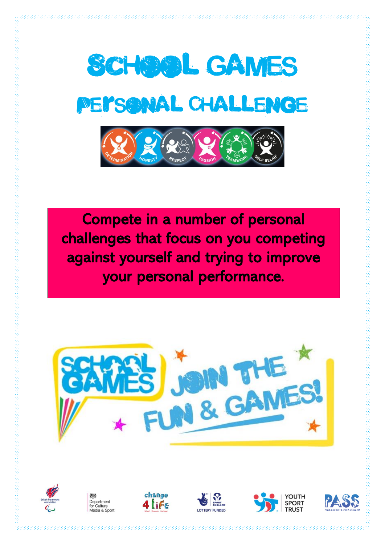

Compete in a number of personal challenges that focus on you competing against yourself and trying to improve your personal performance.













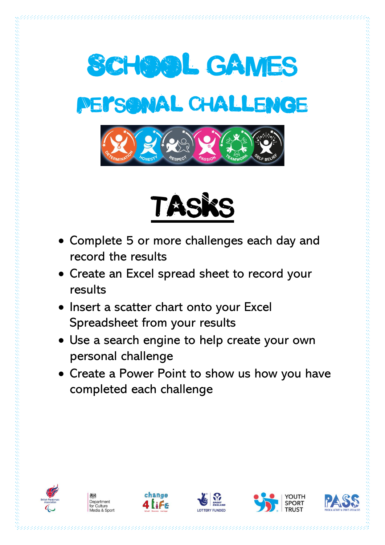



- Complete 5 or more challenges each day and record the results
- Create an Excel spread sheet to record your results
- Insert a scatter chart onto your Excel Spreadsheet from your results
- Use a search engine to help create your own personal challenge
- Create a Power Point to show us how you have completed each challenge











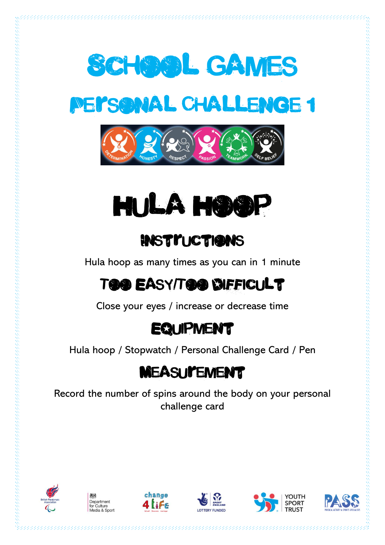







#### **INSTITUCTIONS**

Hula hoop as many times as you can in 1 minute

# Too Easy/Too Difficult

Close your eyes / increase or decrease time

# **EQUIPMENT**

Hula hoop / Stopwatch / Personal Challenge Card / Pen

# **MEASUI'EMENT**

Record the number of spins around the body on your personal challenge card













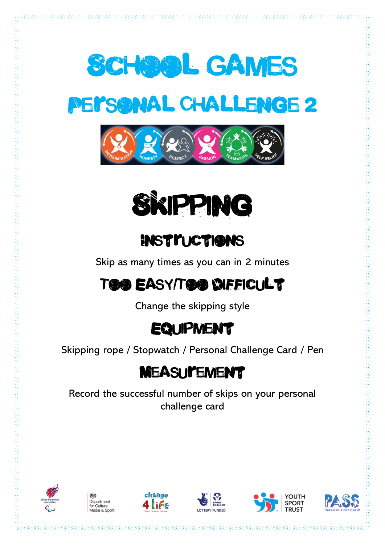







Skip as many times as you can in 2 minutes

# Too Easy/Too Difficult

Change the skipping style

#### **EQUIPMENT**

Skipping rope / Stopwatch / Personal Challenge Card / Pen

#### **MEASUI'EMENT**

Record the successful number of skips on your personal challenge card













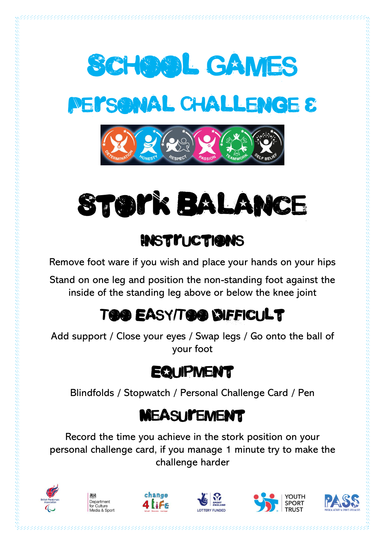



Remove foot ware if you wish and place your hands on your hips

Stand on one leg and position the non-standing foot against the inside of the standing leg above or below the knee joint

# Too Easy/Too Difficult

Add support / Close your eyes / Swap legs / Go onto the ball of your foot

#### **EQUIPMENT**

Blindfolds / Stopwatch / Personal Challenge Card / Pen

#### **MEASUI'EMENT**

Record the time you achieve in the stork position on your personal challenge card, if you manage 1 minute try to make the challenge harder











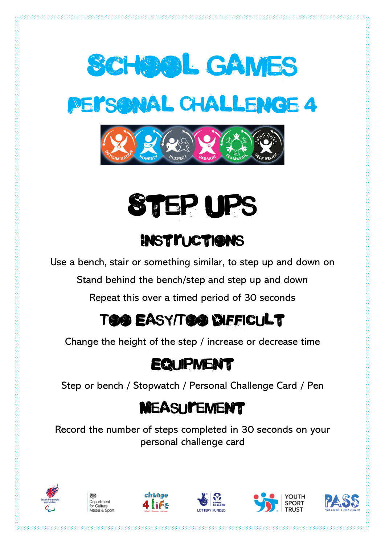



Use a bench, stair or something similar, to step up and down on

Stand behind the bench/step and step up and down

Repeat this over a timed period of 30 seconds

# Too Easy/Too Difficult

Change the height of the step / increase or decrease time

#### **EQUIPMENT**

Step or bench / Stopwatch / Personal Challenge Card / Pen

#### **MEASUI'EMENT**

Record the number of steps completed in 30 seconds on your personal challenge card











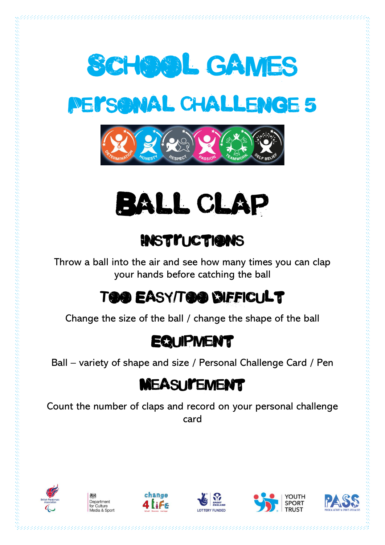







Throw a ball into the air and see how many times you can clap your hands before catching the ball

# Too Easy/Too Difficult

Change the size of the ball / change the shape of the ball

#### **EQUIPMENT**

Ball – variety of shape and size / Personal Challenge Card / Pen

#### **MEASUI'EMENT**

Count the number of claps and record on your personal challenge card











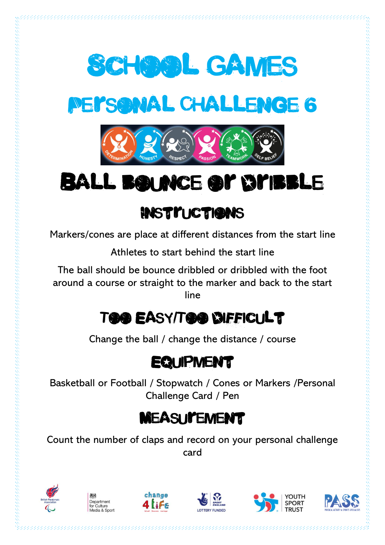

Markers/cones are place at different distances from the start line

Athletes to start behind the start line

The ball should be bounce dribbled or dribbled with the foot around a course or straight to the marker and back to the start line

# Too Easy/Too Difficult

Change the ball / change the distance / course

#### **EQUIPMENT**

Basketball or Football / Stopwatch / Cones or Markers /Personal Challenge Card / Pen

# **MEASUI'EMENT**

Count the number of claps and record on your personal challenge card











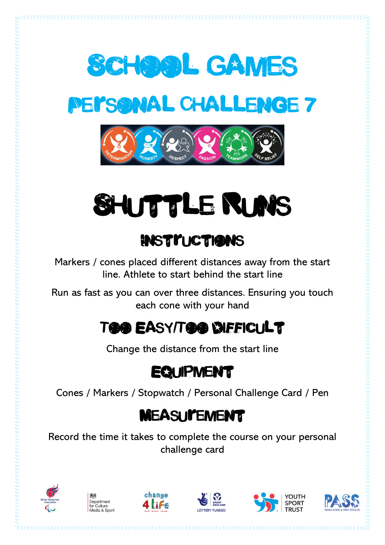







# **INSTITUCTIONS**

Markers / cones placed different distances away from the start line. Athlete to start behind the start line

Run as fast as you can over three distances. Ensuring you touch each cone with your hand

# Too Easy/Too Difficult

Change the distance from the start line

#### **EQUIPMENT**

Cones / Markers / Stopwatch / Personal Challenge Card / Pen

# **MEASUI'EMENT**

Record the time it takes to complete the course on your personal challenge card











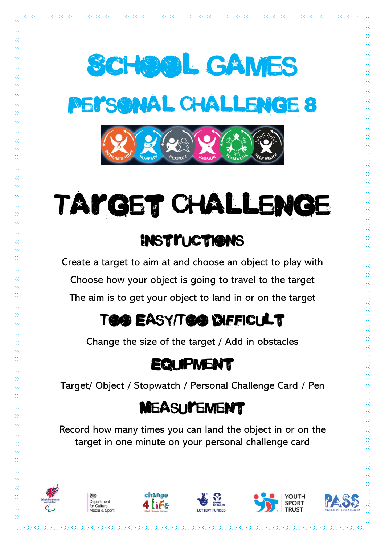



Create a target to aim at and choose an object to play with Choose how your object is going to travel to the target The aim is to get your object to land in or on the target

# Too Easy/Too Difficult

Change the size of the target / Add in obstacles

# **EQUIPMENT**

Target/ Object / Stopwatch / Personal Challenge Card / Pen

# **MEASUI'EMENT**

Record how many times you can land the object in or on the target in one minute on your personal challenge card

.<br>Telesakal salah salah salah salah salah salah salah salah salah salah salah salah salah salah salah salah sala











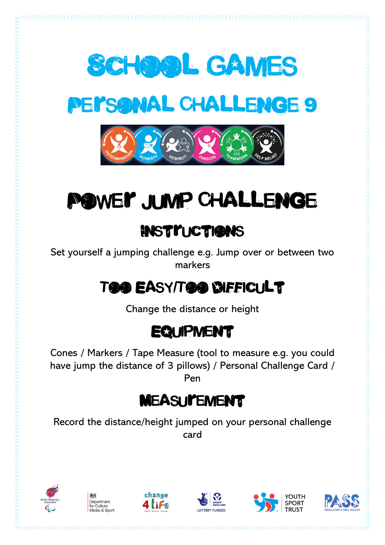





# Power Jump Challenge

#### **INSTITUCTIONS**

Set yourself a jumping challenge e.g. Jump over or between two markers

# Too Easy/Too Difficult

Change the distance or height

#### **EQUIPMENT**

Cones / Markers / Tape Measure (tool to measure e.g. you could have jump the distance of 3 pillows) / Personal Challenge Card / Pen

# **MEASUI'EMENT**

Record the distance/height jumped on your personal challenge card











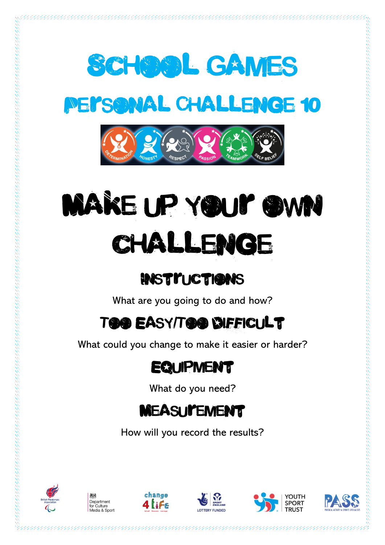





# MAKE UP YOU'T OWN challenge

#### **INSTITUCTIONS**

What are you going to do and how?

# Too Easy/Too Difficult

What could you change to make it easier or harder?

#### **EQUIPMENT**

What do you need?

# **MEASUI'EMENT**

How will you record the results?